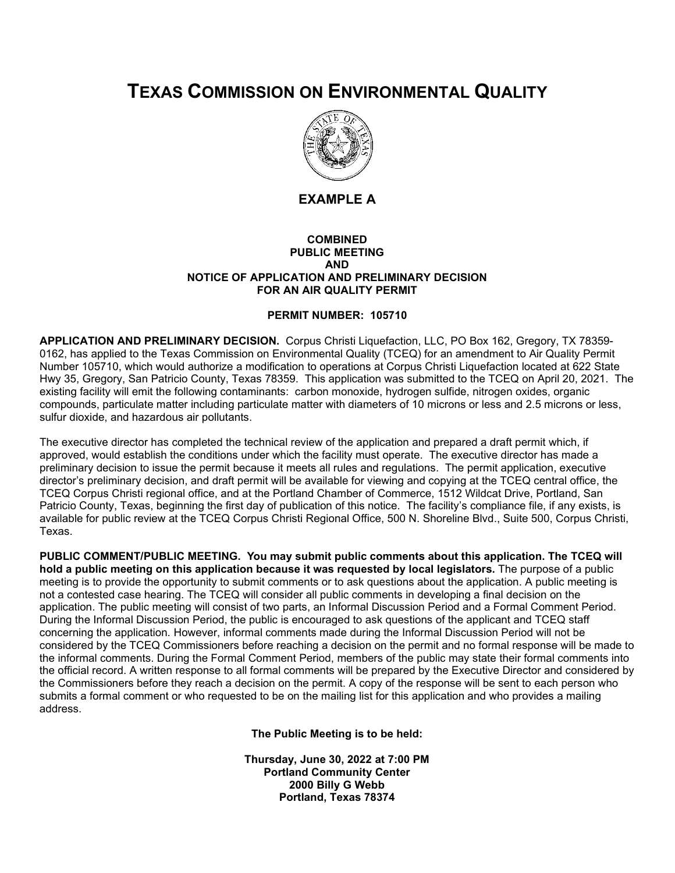## **TEXAS COMMISSION ON ENVIRONMENTAL QUALITY**



**EXAMPLE A**

## **COMBINED PUBLIC MEETING AND NOTICE OF APPLICATION AND PRELIMINARY DECISION FOR AN AIR QUALITY PERMIT**

## **PERMIT NUMBER: 105710**

**APPLICATION AND PRELIMINARY DECISION.** Corpus Christi Liquefaction, LLC, PO Box 162, Gregory, TX 78359- 0162, has applied to the Texas Commission on Environmental Quality (TCEQ) for an amendment to Air Quality Permit Number 105710, which would authorize a modification to operations at Corpus Christi Liquefaction located at 622 State Hwy 35, Gregory, San Patricio County, Texas 78359. This application was submitted to the TCEQ on April 20, 2021. The existing facility will emit the following contaminants: carbon monoxide, hydrogen sulfide, nitrogen oxides, organic compounds, particulate matter including particulate matter with diameters of 10 microns or less and 2.5 microns or less, sulfur dioxide, and hazardous air pollutants.

The executive director has completed the technical review of the application and prepared a draft permit which, if approved, would establish the conditions under which the facility must operate. The executive director has made a preliminary decision to issue the permit because it meets all rules and regulations. The permit application, executive director's preliminary decision, and draft permit will be available for viewing and copying at the TCEQ central office, the TCEQ Corpus Christi regional office, and at the Portland Chamber of Commerce, 1512 Wildcat Drive, Portland, San Patricio County, Texas, beginning the first day of publication of this notice. The facility's compliance file, if any exists, is available for public review at the TCEQ Corpus Christi Regional Office, 500 N. Shoreline Blvd., Suite 500, Corpus Christi, Texas.

**PUBLIC COMMENT/PUBLIC MEETING. You may submit public comments about this application. The TCEQ will hold a public meeting on this application because it was requested by local legislators.** The purpose of a public meeting is to provide the opportunity to submit comments or to ask questions about the application. A public meeting is not a contested case hearing. The TCEQ will consider all public comments in developing a final decision on the application. The public meeting will consist of two parts, an Informal Discussion Period and a Formal Comment Period. During the Informal Discussion Period, the public is encouraged to ask questions of the applicant and TCEQ staff concerning the application. However, informal comments made during the Informal Discussion Period will not be considered by the TCEQ Commissioners before reaching a decision on the permit and no formal response will be made to the informal comments. During the Formal Comment Period, members of the public may state their formal comments into the official record. A written response to all formal comments will be prepared by the Executive Director and considered by the Commissioners before they reach a decision on the permit. A copy of the response will be sent to each person who submits a formal comment or who requested to be on the mailing list for this application and who provides a mailing address.

**The Public Meeting is to be held:**

**Thursday, June 30, 2022 at 7:00 PM Portland Community Center 2000 Billy G Webb Portland, Texas 78374**